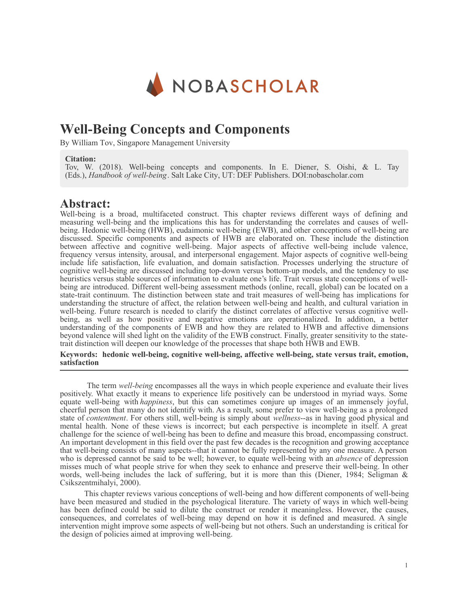

# **Well-Being Concepts and Components**

By William Tov, Singapore Management University

### **Citation:**

Tov, W. (2018). Well-being concepts and components. In E. Diener, S. Oishi, & L. Tay (Eds.), *Handbook of well-being*. Salt Lake City, UT: DEF Publishers. DOI:nobascholar.com

### **Abstract:**

Well-being is a broad, multifaceted construct. This chapter reviews different ways of defining and measuring well-being and the implications this has for understanding the correlates and causes of wellbeing. Hedonic well-being (HWB), eudaimonic well-being (EWB), and other conceptions of well-being are discussed. Specific components and aspects of HWB are elaborated on. These include the distinction between affective and cognitive well-being. Major aspects of affective well-being include valence, frequency versus intensity, arousal, and interpersonal engagement. Major aspects of cognitive well-being include life satisfaction, life evaluation, and domain satisfaction. Processes underlying the structure of cognitive well-being are discussed including top-down versus bottom-up models, and the tendency to use heuristics versus stable sources of information to evaluate one's life. Trait versus state conceptions of wellbeing are introduced. Different well-being assessment methods (online, recall, global) can be located on a state-trait continuum. The distinction between state and trait measures of well-being has implications for understanding the structure of affect, the relation between well-being and health, and cultural variation in well-being. Future research is needed to clarify the distinct correlates of affective versus cognitive wellbeing, as well as how positive and negative emotions are operationalized. In addition, a better understanding of the components of EWB and how they are related to HWB and affective dimensions beyond valence will shed light on the validity of the EWB construct. Finally, greater sensitivity to the statetrait distinction will deepen our knowledge of the processes that shape both HWB and EWB.

**Keywords: hedonic well-being, cognitive well-being, affective well-being, state versus trait, emotion, satisfaction**

The term *well-being* encompasses all the ways in which people experience and evaluate their lives positively. What exactly it means to experience life positively can be understood in myriad ways. Some equate well-being with *happiness*, but this can sometimes conjure up images of an immensely joyful, cheerful person that many do not identify with. As a result, some prefer to view well-being as a prolonged state of *contentment*. For others still, well-being is simply about *wellness*--as in having good physical and mental health. None of these views is incorrect; but each perspective is incomplete in itself. A great challenge for the science of well-being has been to define and measure this broad, encompassing construct. An important development in this field over the past few decades is the recognition and growing acceptance that well-being consists of many aspects--that it cannot be fully represented by any one measure. A person who is depressed cannot be said to be well; however, to equate well-being with an *absence* of depression misses much of what people strive for when they seek to enhance and preserve their well-being. In other words, well-being includes the lack of suffering, but it is more than this (Diener, 1984; Seligman & Csikszentmihalyi, 2000).

This chapter reviews various conceptions of well-being and how different components of well-being have been measured and studied in the psychological literature. The variety of ways in which well-being has been defined could be said to dilute the construct or render it meaningless. However, the causes, consequences, and correlates of well-being may depend on how it is defined and measured. A single intervention might improve some aspects of well-being but not others. Such an understanding is critical for the design of policies aimed at improving well-being.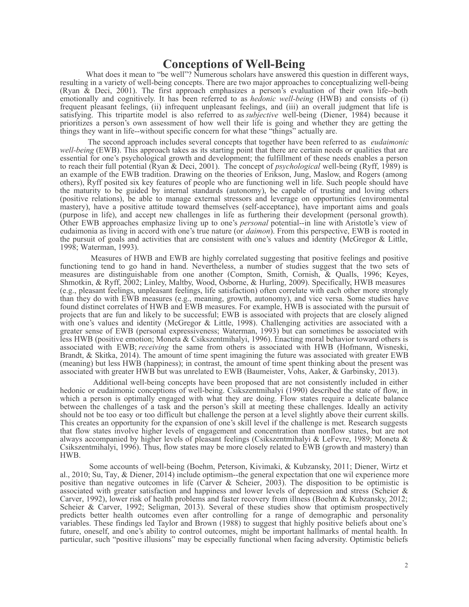## **Conceptions of Well-Being**

What does it mean to "be well"? Numerous scholars have answered this question in different ways, resulting in a variety of well-being concepts. There are two major approaches to conceptualizing well-being (Ryan & Deci, 2001). The first approach emphasizes a person's evaluation of their own life--both emotionally and cognitively. It has been referred to as *hedonic well-being* (HWB) and consists of (i) frequent pleasant feelings, (ii) infrequent unpleasant feelings, and (iii) an overall judgment that life is satisfying. This tripartite model is also referred to as *subjective* well-being (Diener, 1984) because it prioritizes a person's own assessment of how well their life is going and whether they are getting the things they want in life--without specific concern for what these "things" actually are.

The second approach includes several concepts that together have been referred to as *eudaimonic well-being* (EWB). This approach takes as its starting point that there are certain needs or qualities that are essential for one's psychological growth and development; the fulfillment of these needs enables a person to reach their full potential (Ryan & Deci, 2001). The concept of *psychological* well-being (Ryff, 1989) is an example of the EWB tradition. Drawing on the theories of Erikson, Jung, Maslow, and Rogers (among others), Ryff posited six key features of people who are functioning well in life. Such people should have the maturity to be guided by internal standards (autonomy), be capable of trusting and loving others (positive relations), be able to manage external stressors and leverage on opportunities (environmental mastery), have a positive attitude toward themselves (self-acceptance), have important aims and goals (purpose in life), and accept new challenges in life as furthering their development (personal growth). Other EWB approaches emphasize living up to one's *personal* potential--in line with Aristotle's view of eudaimonia as living in accord with one's true nature (or *daimon*). From this perspective, EWB is rooted in the pursuit of goals and activities that are consistent with one's values and identity (McGregor & Little, 1998; Waterman, 1993).

Measures of HWB and EWB are highly correlated suggesting that positive feelings and positive functioning tend to go hand in hand. Nevertheless, a number of studies suggest that the two sets of measures are distinguishable from one another (Compton, Smith, Cornish, & Qualls, 1996; Keyes, Shmotkin, & Ryff, 2002; Linley, Maltby, Wood, Osborne, & Hurling, 2009). Specifically, HWB measures (e.g., pleasant feelings, unpleasant feelings, life satisfaction) often correlate with each other more strongly than they do with EWB measures (e.g., meaning, growth, autonomy), and vice versa. Some studies have found distinct correlates of HWB and EWB measures. For example, HWB is associated with the pursuit of projects that are fun and likely to be successful; EWB is associated with projects that are closely aligned with one's values and identity (McGregor & Little, 1998). Challenging activities are associated with a greater sense of EWB (personal expressiveness; Waterman, 1993) but can sometimes be associated with less HWB (positive emotion; Moneta & Csikszentmihalyi, 1996). Enacting moral behavior toward others is associated with EWB; *receiving* the same from others is associated with HWB (Hofmann, Wisneski, Brandt, & Skitka, 2014). The amount of time spent imagining the future was associated with greater EWB (meaning) but less HWB (happiness); in contrast, the amount of time spent thinking about the present was associated with greater HWB but was unrelated to EWB (Baumeister, Vohs, Aaker, & Garbinsky, 2013).

Additional well-being concepts have been proposed that are not consistently included in either hedonic or eudaimonic conceptions of well-being. Csikszentmihalyi (1990) described the state of flow, in which a person is optimally engaged with what they are doing. Flow states require a delicate balance between the challenges of a task and the person's skill at meeting these challenges. Ideally an activity should not be too easy or too difficult but challenge the person at a level slightly above their current skills. This creates an opportunity for the expansion of one's skill level if the challenge is met. Research suggests that flow states involve higher levels of engagement and concentration than nonflow states, but are not always accompanied by higher levels of pleasant feelings (Csikszentmihalyi & LeFevre, 1989; Moneta & Csikszentmihalyi, 1996). Thus, flow states may be more closely related to EWB (growth and mastery) than HWB.

Some accounts of well-being (Boehm, Peterson, Kivimaki, & Kubzansky, 2011; Diener, Wirtz et al., 2010; Su, Tay, & Diener, 2014) include optimism--the general expectation that one wil experience more positive than negative outcomes in life (Carver & Scheier, 2003). The disposition to be optimistic is associated with greater satisfaction and happiness and lower levels of depression and stress (Scheier & Carver, 1992), lower risk of health problems and faster recovery from illness (Boehm & Kubzansky, 2012; Scheier & Carver, 1992; Seligman, 2013). Several of these studies show that optimism prospectively predicts better health outcomes even after controlling for a range of demographic and personality variables. These findings led Taylor and Brown (1988) to suggest that highly positive beliefs about one's future, oneself, and one's ability to control outcomes, might be important hallmarks of mental health. In particular, such "positive illusions" may be especially functional when facing adversity. Optimistic beliefs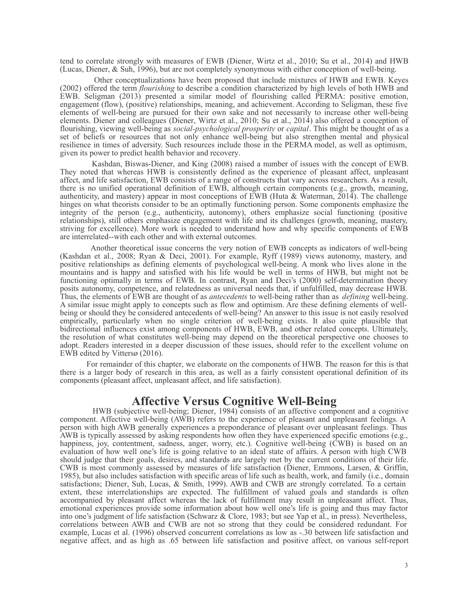tend to correlate strongly with measures of EWB (Diener, Wirtz et al., 2010; Su et al., 2014) and HWB (Lucas, Diener, & Suh, 1996), but are not completely synonymous with either conception of well-being.

Other conceptualizations have been proposed that include mixtures of HWB and EWB. Keyes (2002) offered the term *flourishing* to describe a condition characterized by high levels of both HWB and EWB. Seligman (2013) presented a similar model of flourishing called PERMA: positive emotion, engagement (flow), (positive) relationships, meaning, and achievement. According to Seligman, these five elements of well-being are pursued for their own sake and not necessarily to increase other well-being elements. Diener and colleagues (Diener, Wirtz et al., 2010; Su et al., 2014) also offered a conception of flourishing, viewing well-being as *social-psychological prosperity* or *capital*. This might be thought of as a set of beliefs or resources that not only enhance well-being but also strengthen mental and physical resilience in times of adversity. Such resources include those in the PERMA model, as well as optimism, given its power to predict health behavior and recovery.

Kashdan, Biswas-Diener, and King (2008) raised a number of issues with the concept of EWB. They noted that whereas HWB is consistently defined as the experience of pleasant affect, unpleasant affect, and life satisfaction, EWB consists of a range of constructs that vary across researchers. As a result, there is no unified operational definition of EWB, although certain components (e.g., growth, meaning, authenticity, and mastery) appear in most conceptions of EWB (Huta & Waterman, 2014). The challenge hinges on what theorists consider to be an optimally functioning person. Some components emphasize the integrity of the person (e.g., authenticity, autonomy), others emphasize social functioning (positive relationships), still others emphasize engagement with life and its challenges (growth, meaning, mastery, striving for excellence). More work is needed to understand how and why specific components of EWB are interrelated--with each other and with external outcomes.

Another theoretical issue concerns the very notion of EWB concepts as indicators of well-being (Kashdan et al., 2008; Ryan & Deci, 2001). For example, Ryff (1989) views autonomy, mastery, and positive relationships as defining elements of psychological well-being. A monk who lives alone in the mountains and is happy and satisfied with his life would be well in terms of HWB, but might not be functioning optimally in terms of EWB. In contrast, Ryan and Deci's (2000) self-determination theory posits autonomy, competence, and relatedness as universal needs that, if unfulfilled, may decrease HWB. Thus, the elements of EWB are thought of as *antecedents* to well-being rather than as *defining* well-being. A similar issue might apply to concepts such as flow and optimism. Are these defining elements of wellbeing or should they be considered antecedents of well-being? An answer to this issue is not easily resolved empirically, particularly when no single criterion of well-being exists. It also quite plausible that bidirectional influences exist among components of HWB, EWB, and other related concepts. Ultimately, the resolution of what constitutes well-being may depend on the theoretical perspective one chooses to adopt. Readers interested in a deeper discussion of these issues, should refer to the excellent volume on EWB edited by Vittersø (2016).

For remainder of this chapter, we elaborate on the components of HWB. The reason for this is that there is a larger body of research in this area, as well as a fairly consistent operational definition of its components (pleasant affect, unpleasant affect, and life satisfaction).

### **Affective Versus Cognitive Well-Being**

HWB (subjective well-being; Diener, 1984) consists of an affective component and a cognitive component. Affective well-being (AWB) refers to the experience of pleasant and unpleasant feelings. A person with high AWB generally experiences a preponderance of pleasant over unpleasant feelings. Thus AWB is typically assessed by asking respondents how often they have experienced specific emotions (e.g., happiness, joy, contentment, sadness, anger, worry, etc.). Cognitive well-being (CWB) is based on an evaluation of how well one's life is going relative to an ideal state of affairs. A person with high CWB should judge that their goals, desires, and standards are largely met by the current conditions of their life. CWB is most commonly assessed by measures of life satisfaction (Diener, Emmons, Larsen, & Griffin, 1985), but also includes satisfaction with specific areas of life such as health, work, and family (i.e., domain satisfactions; Diener, Suh, Lucas, & Smith, 1999). AWB and CWB are strongly correlated. To a certain extent, these interrelationships are expected. The fulfillment of valued goals and standards is often accompanied by pleasant affect whereas the lack of fulfillment may result in unpleasant affect. Thus, emotional experiences provide some information about how well one's life is going and thus may factor into one's judgment of life satisfaction (Schwarz & Clore, 1983; but see Yap et al., in press). Nevertheless, correlations between AWB and CWB are not so strong that they could be considered redundant. For example, Lucas et al. (1996) observed concurrent correlations as low as -.30 between life satisfaction and negative affect, and as high as .65 between life satisfaction and positive affect, on various self-report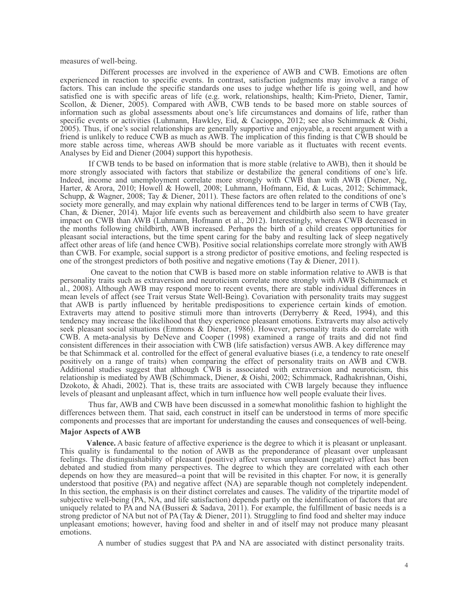measures of well-being.

Different processes are involved in the experience of AWB and CWB. Emotions are often experienced in reaction to specific events. In contrast, satisfaction judgments may involve a range of factors. This can include the specific standards one uses to judge whether life is going well, and how satisfied one is with specific areas of life (e.g. work, relationships, health; Kim-Prieto, Diener, Tamir, Scollon, & Diener, 2005). Compared with AWB, CWB tends to be based more on stable sources of information such as global assessments about one's life circumstances and domains of life, rather than specific events or activities (Luhmann, Hawkley, Eid, & Cacioppo, 2012; see also Schimmack & Oishi, 2005). Thus, if one's social relationships are generally supportive and enjoyable, a recent argument with a friend is unlikely to reduce CWB as much as AWB. The implication of this finding is that CWB should be more stable across time, whereas AWB should be more variable as it fluctuates with recent events. Analyses by Eid and Diener (2004) support this hypothesis.

If CWB tends to be based on information that is more stable (relative to AWB), then it should be more strongly associated with factors that stabilize or destabilize the general conditions of one's life. Indeed, income and unemployment correlate more strongly with CWB than with AWB (Diener, Ng, Harter, & Arora, 2010; Howell & Howell, 2008; Luhmann, Hofmann, Eid, & Lucas, 2012; Schimmack, Schupp, & Wagner, 2008; Tay & Diener, 2011). These factors are often related to the conditions of one's society more generally, and may explain why national differences tend to be larger in terms of CWB (Tay, Chan, & Diener, 2014). Major life events such as bereavement and childbirth also seem to have greater impact on CWB than AWB (Luhmann, Hofmann et al., 2012). Interestingly, whereas CWB decreased in the months following childbirth, AWB increased. Perhaps the birth of a child creates opportunities for pleasant social interactions, but the time spent caring for the baby and resulting lack of sleep negatively affect other areas of life (and hence CWB). Positive social relationships correlate more strongly with AWB than CWB. For example, social support is a strong predictor of positive emotions, and feeling respected is one of the strongest predictors of both positive and negative emotions (Tay & Diener, 2011).

One caveat to the notion that CWB is based more on stable information relative to AWB is that personality traits such as extraversion and neuroticism correlate more strongly with AWB (Schimmack et al., 2008). Although AWB may respond more to recent events, there are stable individual differences in mean levels of affect (see Trait versus State Well-Being). Covariation with personality traits may suggest that AWB is partly influenced by heritable predispositions to experience certain kinds of emotion. Extraverts may attend to positive stimuli more than introverts (Derryberry & Reed, 1994), and this tendency may increase the likelihood that they experience pleasant emotions. Extraverts may also actively seek pleasant social situations (Emmons & Diener, 1986). However, personality traits do correlate with CWB. A meta-analysis by DeNeve and Cooper (1998) examined a range of traits and did not find consistent differences in their association with CWB (life satisfaction) versus AWB. A key difference may be that Schimmack et al. controlled for the effect of general evaluative biases (i.e, a tendency to rate oneself positively on a range of traits) when comparing the effect of personality traits on AWB and CWB. Additional studies suggest that although CWB is associated with extraversion and neuroticism, this relationship is mediated by AWB (Schimmack, Diener, & Oishi, 2002; Schimmack, Radhakrishnan, Oishi, Dzokoto, & Ahadi, 2002). That is, these traits are associated with CWB largely because they influence levels of pleasant and unpleasant affect, which in turn influence how well people evaluate their lives.

Thus far, AWB and CWB have been discussed in a somewhat monolithic fashion to highlight the differences between them. That said, each construct in itself can be understood in terms of more specific components and processes that are important for understanding the causes and consequences of well-being.

### **Major Aspects of AWB**

**Valence.** A basic feature of affective experience is the degree to which it is pleasant or unpleasant. This quality is fundamental to the notion of AWB as the preponderance of pleasant over unpleasant feelings. The distinguishability of pleasant (positive) affect versus unpleasant (negative) affect has been debated and studied from many perspectives. The degree to which they are correlated with each other depends on how they are measured--a point that will be revisited in this chapter. For now, it is generally understood that positive (PA) and negative affect (NA) are separable though not completely independent. In this section, the emphasis is on their distinct correlates and causes. The validity of the tripartite model of subjective well-being (PA, NA, and life satisfaction) depends partly on the identification of factors that are uniquely related to PA and NA (Busseri & Sadava, 2011). For example, the fulfillment of basic needs is a strong predictor of NA but not of PA (Tay & Diener, 2011). Struggling to find food and shelter may induce unpleasant emotions; however, having food and shelter in and of itself may not produce many pleasant emotions.

A number of studies suggest that PA and NA are associated with distinct personality traits.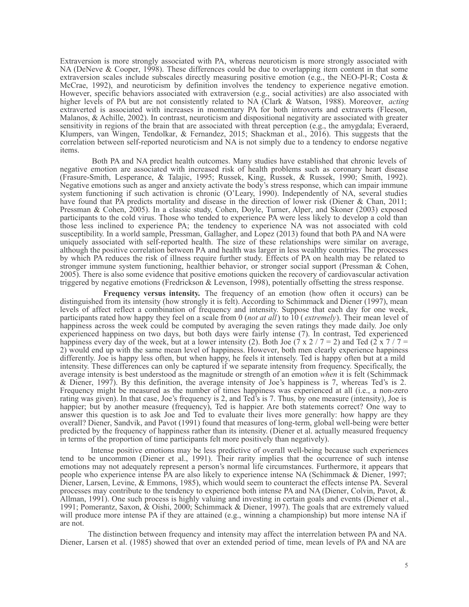Extraversion is more strongly associated with PA, whereas neuroticism is more strongly associated with NA (DeNeve & Cooper, 1998). These differences could be due to overlapping item content in that some extraversion scales include subscales directly measuring positive emotion (e.g., the NEO-PI-R; Costa & McCrae, 1992), and neuroticism by definition involves the tendency to experience negative emotion. However, specific behaviors associated with extraversion (e.g., social activities) are also associated with higher levels of PA but are not consistently related to NA (Clark & Watson, 1988). Moreover, *acting* extraverted is associated with increases in momentary PA for both introverts and extraverts (Fleeson, Malanos, & Achille, 2002). In contrast, neuroticism and dispositional negativity are associated with greater sensitivity in regions of the brain that are associated with threat perception (e.g., the amygdala; Everaerd, Klumpers, van Wingen, Tendolkar, & Fernandez, 2015; Shackman et al., 2016). This suggests that the correlation between self-reported neuroticism and NA is not simply due to a tendency to endorse negative items.

Both PA and NA predict health outcomes. Many studies have established that chronic levels of negative emotion are associated with increased risk of health problems such as coronary heart disease (Frasure-Smith, Lesperance, & Talajic, 1995; Russek, King, Russek, & Russek, 1990; Smith, 1992). Negative emotions such as anger and anxiety activate the body's stress response, which can impair immune system functioning if such activation is chronic (O'Leary, 1990). Independently of NA, several studies have found that PA predicts mortality and disease in the direction of lower risk (Diener & Chan, 2011; Pressman & Cohen, 2005). In a classic study, Cohen, Doyle, Turner, Alper, and Skoner (2003) exposed participants to the cold virus. Those who tended to experience PA were less likely to develop a cold than those less inclined to experience PA; the tendency to experience NA was not associated with cold susceptibility. In a world sample, Pressman, Gallagher, and Lopez (2013) found that both PA and NA were uniquely associated with self-reported health. The size of these relationships were similar on average, although the positive correlation between PA and health was larger in less wealthy countries. The processes by which PA reduces the risk of illness require further study. Effects of PA on health may be related to stronger immune system functioning, healthier behavior, or stronger social support (Pressman & Cohen, 2005). There is also some evidence that positive emotions quicken the recovery of cardiovascular activation triggered by negative emotions (Fredrickson & Levenson, 1998), potentially offsetting the stress response.

**Frequency versus intensity.** The frequency of an emotion (how often it occurs) can be distinguished from its intensity (how strongly it is felt). According to Schimmack and Diener (1997), mean levels of affect reflect a combination of frequency and intensity. Suppose that each day for one week, participants rated how happy they feel on a scale from 0 (*not at all*) to 10 ( *extremely*). Their mean level of happiness across the week could be computed by averaging the seven ratings they made daily. Joe only experienced happiness on two days, but both days were fairly intense (7). In contrast, Ted experienced happiness every day of the week, but at a lower intensity (2). Both Joe (7 x 2 / 7 = 2) and Ted (2 x 7 / 7 = 2) would end up with the same mean level of happiness. However, both men clearly experience happiness differently. Joe is happy less often, but when happy, he feels it intensely. Ted is happy often but at a mild intensity. These differences can only be captured if we separate intensity from frequency. Specifically, the average intensity is best understood as the magnitude or strength of an emotion *when* it is felt (Schimmack & Diener, 1997). By this definition, the average intensity of Joe's happiness is 7, whereas Ted's is 2. Frequency might be measured as the number of times happiness was experienced at all (i.e., a non-zero rating was given). In that case, Joe's frequency is 2, and Ted's is 7. Thus, by one measure (intensity), Joe is happier; but by another measure (frequency), Ted is happier. Are both statements correct? One way to answer this question is to ask Joe and Ted to evaluate their lives more generally: how happy are they overall? Diener, Sandvik, and Pavot (1991) found that measures of long-term, global well-being were better predicted by the frequency of happiness rather than its intensity. (Diener et al. actually measured frequency in terms of the proportion of time participants felt more positively than negatively).

Intense positive emotions may be less predictive of overall well-being because such experiences tend to be uncommon (Diener et al., 1991). Their rarity implies that the occurrence of such intense emotions may not adequately represent a person's normal life circumstances. Furthermore, it appears that people who experience intense PA are also likely to experience intense NA (Schimmack & Diener, 1997; Diener, Larsen, Levine, & Emmons, 1985), which would seem to counteract the effects intense PA. Several processes may contribute to the tendency to experience both intense PA and NA (Diener, Colvin, Pavot, & Allman, 1991). One such process is highly valuing and investing in certain goals and events (Diener et al., 1991; Pomerantz, Saxon, & Oishi, 2000; Schimmack & Diener, 1997). The goals that are extremely valued will produce more intense PA if they are attained (e.g., winning a championship) but more intense NA if are not.

The distinction between frequency and intensity may affect the interrelation between PA and NA. Diener, Larsen et al. (1985) showed that over an extended period of time, mean levels of PA and NA are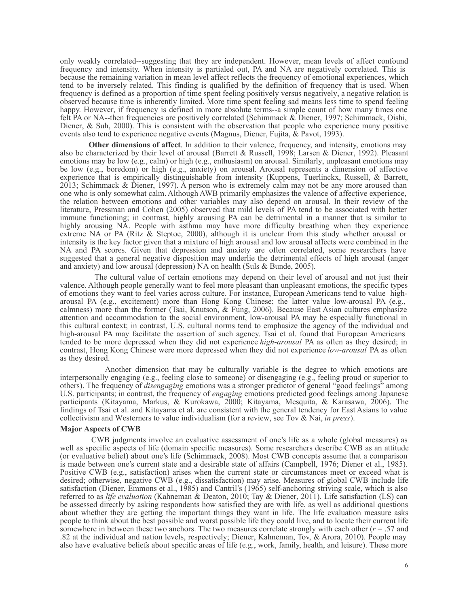only weakly correlated--suggesting that they are independent. However, mean levels of affect confound frequency and intensity. When intensity is partialed out, PA and NA are negatively correlated. This is because the remaining variation in mean level affect reflects the frequency of emotional experiences, which tend to be inversely related. This finding is qualified by the definition of frequency that is used. When frequency is defined as a proportion of time spent feeling positively versus negatively, a negative relation is observed because time is inherently limited. More time spent feeling sad means less time to spend feeling happy. However, if frequency is defined in more absolute terms--a simple count of how many times one felt PA or NA--then frequencies are positively correlated (Schimmack & Diener, 1997; Schimmack, Oishi, Diener, & Suh, 2000). This is consistent with the observation that people who experience many positive events also tend to experience negative events (Magnus, Diener, Fujita, & Pavot, 1993).

**Other dimensions of affect**. In addition to their valence, frequency, and intensity, emotions may also be characterized by their level of arousal (Barrett & Russell, 1998; Larsen & Diener, 1992). Pleasant emotions may be low (e.g., calm) or high (e.g., enthusiasm) on arousal. Similarly, unpleasant emotions may be low (e.g., boredom) or high (e.g., anxiety) on arousal. Arousal represents a dimension of affective experience that is empirically distinguishable from intensity (Kuppens, Tuerlinckx, Russell, & Barrett, 2013; Schimmack & Diener, 1997). A person who is extremely calm may not be any more aroused than one who is only somewhat calm. Although AWB primarily emphasizes the valence of affective experience, the relation between emotions and other variables may also depend on arousal. In their review of the literature, Pressman and Cohen (2005) observed that mild levels of PA tend to be associated with better immune functioning; in contrast, highly arousing PA can be detrimental in a manner that is similar to highly arousing NA. People with asthma may have more difficulty breathing when they experience extreme NA or PA (Ritz & Steptoe, 2000), although it is unclear from this study whether arousal or intensity is the key factor given that a mixture of high arousal and low arousal affects were combined in the NA and PA scores. Given that depression and anxiety are often correlated, some researchers have suggested that a general negative disposition may underlie the detrimental effects of high arousal (anger and anxiety) and low arousal (depression) NA on health (Suls & Bunde, 2005).

The cultural value of certain emotions may depend on their level of arousal and not just their valence. Although people generally want to feel more pleasant than unpleasant emotions, the specific types of emotions they want to feel varies across culture. For instance, European Americans tend to value higharousal PA (e.g., excitement) more than Hong Kong Chinese; the latter value low-arousal PA (e.g., calmness) more than the former (Tsai, Knutson, & Fung, 2006). Because East Asian cultures emphasize attention and accommodation to the social environment, low-arousal PA may be especially functional in this cultural context; in contrast, U.S. cultural norms tend to emphasize the agency of the individual and high-arousal PA may facilitate the assertion of such agency. Tsai et al. found that European Americans tended to be more depressed when they did not experience *high-arousal* PA as often as they desired; in contrast, Hong Kong Chinese were more depressed when they did not experience *low-arousal* PA as often as they desired.

Another dimension that may be culturally variable is the degree to which emotions are interpersonally engaging (e.g., feeling close to someone) or disengaging (e.g., feeling proud or superior to others). The frequency of *disengaging* emotions was a stronger predictor of general "good feelings" among U.S. participants; in contrast, the frequency of *engaging* emotions predicted good feelings among Japanese participants (Kitayama, Markus, & Kurokawa, 2000; Kitayama, Mesquita, & Karasawa, 2006). The findings of Tsai et al. and Kitayama et al. are consistent with the general tendency for East Asians to value collectivism and Westerners to value individualism (for a review, see Tov & Nai, *in press*).

### **Major Aspects of CWB**

CWB judgments involve an evaluative assessment of one's life as a whole (global measures) as well as specific aspects of life (domain specific measures). Some researchers describe CWB as an attitude (or evaluative belief) about one's life (Schimmack, 2008). Most CWB concepts assume that a comparison is made between one's current state and a desirable state of affairs (Campbell, 1976; Diener et al., 1985). Positive CWB (e.g., satisfaction) arises when the current state or circumstances meet or exceed what is desired; otherwise, negative CWB (e.g., dissatisfaction) may arise. Measures of global CWB include life satisfaction (Diener, Emmons et al., 1985) and Cantril's (1965) self-anchoring striving scale, which is also referred to as *life evaluation* (Kahneman & Deaton, 2010; Tay & Diener, 2011). Life satisfaction (LS) can be assessed directly by asking respondents how satisfied they are with life, as well as additional questions about whether they are getting the important things they want in life. The life evaluation measure asks people to think about the best possible and worst possible life they could live, and to locate their current life somewhere in between these two anchors. The two measures correlate strongly with each other  $(r = .57$  and .82 at the individual and nation levels, respectively; Diener, Kahneman, Tov, & Arora, 2010). People may also have evaluative beliefs about specific areas of life (e.g., work, family, health, and leisure). These more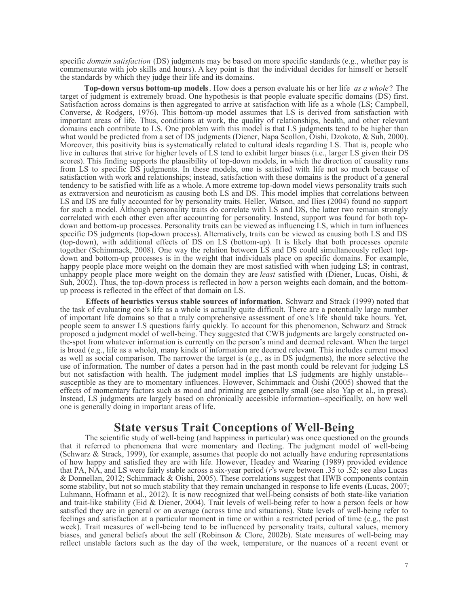specific *domain satisfaction* (DS) judgments may be based on more specific standards (e.g., whether pay is commensurate with job skills and hours). A key point is that the individual decides for himself or herself the standards by which they judge their life and its domains.

**Top-down versus bottom-up models**. How does a person evaluate his or her life *as a whole*? The target of judgment is extremely broad. One hypothesis is that people evaluate specific domains (DS) first. Satisfaction across domains is then aggregated to arrive at satisfaction with life as a whole (LS; Campbell, Converse, & Rodgers, 1976). This bottom-up model assumes that LS is derived from satisfaction with important areas of life. Thus, conditions at work, the quality of relationships, health, and other relevant domains each contribute to LS. One problem with this model is that LS judgments tend to be higher than what would be predicted from a set of DS judgments (Diener, Napa Scollon, Oishi, Dzokoto, & Suh, 2000). Moreover, this positivity bias is systematically related to cultural ideals regarding LS. That is, people who live in cultures that strive for higher levels of LS tend to exhibit larger biases (i.e., larger LS given their DS scores). This finding supports the plausibility of top-down models, in which the direction of causality runs from LS to specific DS judgments. In these models, one is satisfied with life not so much because of satisfaction with work and relationships; instead, satisfaction with these domains is the product of a general tendency to be satisfied with life as a whole. A more extreme top-down model views personality traits such as extraversion and neuroticism as causing both LS and DS. This model implies that correlations between LS and DS are fully accounted for by personality traits. Heller, Watson, and Ilies (2004) found no support for such a model. Although personality traits do correlate with LS and DS, the latter two remain strongly correlated with each other even after accounting for personality. Instead, support was found for both topdown and bottom-up processes. Personality traits can be viewed as influencing LS, which in turn influences specific DS judgments (top-down process). Alternatively, traits can be viewed as causing both LS and DS (top-down), with additional effects of DS on LS (bottom-up). It is likely that both processes operate together (Schimmack, 2008). One way the relation between LS and DS could simultaneously reflect topdown and bottom-up processes is in the weight that individuals place on specific domains. For example, happy people place more weight on the domain they are most satisfied with when judging LS; in contrast, unhappy people place more weight on the domain they are *least* satisfied with (Diener, Lucas, Oishi, & Suh, 2002). Thus, the top-down process is reflected in how a person weights each domain, and the bottomup process is reflected in the effect of that domain on LS.

**Effects of heuristics versus stable sources of information.** Schwarz and Strack (1999) noted that the task of evaluating one's life as a whole is actually quite difficult. There are a potentially large number of important life domains so that a truly comprehensive assessment of one's life should take hours. Yet, people seem to answer LS questions fairly quickly. To account for this phenomenon, Schwarz and Strack proposed a judgment model of well-being. They suggested that CWB judgments are largely constructed onthe-spot from whatever information is currently on the person's mind and deemed relevant. When the target is broad (e.g., life as a whole), many kinds of information are deemed relevant. This includes current mood as well as social comparison. The narrower the target is (e.g., as in DS judgments), the more selective the use of information. The number of dates a person had in the past month could be relevant for judging LS but not satisfaction with health. The judgment model implies that LS judgments are highly unstable- susceptible as they are to momentary influences. However, Schimmack and Oishi (2005) showed that the effects of momentary factors such as mood and priming are generally small (see also Yap et al., in press). Instead, LS judgments are largely based on chronically accessible information--specifically, on how well one is generally doing in important areas of life.

# **State versus Trait Conceptions of Well-Being**

The scientific study of well-being (and happiness in particular) was once questioned on the grounds that it referred to phenomena that were momentary and fleeting. The judgment model of well-being (Schwarz & Strack, 1999), for example, assumes that people do not actually have enduring representations of how happy and satisfied they are with life. However, Headey and Wearing (1989) provided evidence that PA, NA, and LS were fairly stable across a six-year period (*r*'s were between .35 to .52; see also Lucas & Donnellan, 2012; Schimmack & Oishi, 2005). These correlations suggest that HWB components contain some stability, but not so much stability that they remain unchanged in response to life events (Lucas, 2007; Luhmann, Hofmann et al., 2012). It is now recognized that well-being consists of both state-like variation and trait-like stability (Eid & Diener, 2004). Trait levels of well-being refer to how a person feels or how satisfied they are in general or on average (across time and situations). State levels of well-being refer to feelings and satisfaction at a particular moment in time or within a restricted period of time (e.g., the past week). Trait measures of well-being tend to be influenced by personality traits, cultural values, memory biases, and general beliefs about the self (Robinson & Clore, 2002b). State measures of well-being may reflect unstable factors such as the day of the week, temperature, or the nuances of a recent event or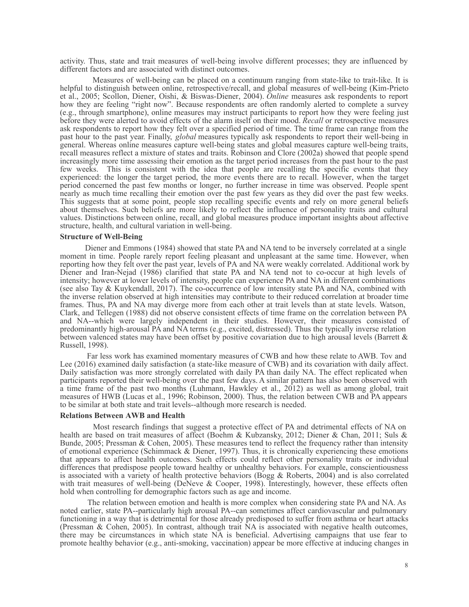activity. Thus, state and trait measures of well-being involve different processes; they are influenced by different factors and are associated with distinct outcomes.

Measures of well-being can be placed on a continuum ranging from state-like to trait-like. It is helpful to distinguish between online, retrospective/recall, and global measures of well-being (Kim-Prieto et al., 2005; Scollon, Diener, Oishi, & Biswas-Diener, 2004). *Online* measures ask respondents to report how they are feeling "right now". Because respondents are often randomly alerted to complete a survey (e.g., through smartphone), online measures may instruct participants to report how they were feeling just before they were alerted to avoid effects of the alarm itself on their mood. *Recall* or retrospective measures ask respondents to report how they felt over a specified period of time. The time frame can range from the past hour to the past year. Finally, *global* measures typically ask respondents to report their well-being in general. Whereas online measures capture well-being states and global measures capture well-being traits, recall measures reflect a mixture of states and traits. Robinson and Clore (2002a) showed that people spend increasingly more time assessing their emotion as the target period increases from the past hour to the past few weeks. This is consistent with the idea that people are recalling the specific events that they experienced: the longer the target period, the more events there are to recall. However, when the target period concerned the past few months or longer, no further increase in time was observed. People spent nearly as much time recalling their emotion over the past few years as they did over the past few weeks. This suggests that at some point, people stop recalling specific events and rely on more general beliefs about themselves. Such beliefs are more likely to reflect the influence of personality traits and cultural values. Distinctions between online, recall, and global measures produce important insights about affective structure, health, and cultural variation in well-being.

### **Structure of Well-Being**

Diener and Emmons (1984) showed that state PA and NA tend to be inversely correlated at a single moment in time. People rarely report feeling pleasant and unpleasant at the same time. However, when reporting how they felt over the past year, levels of PA and NA were weakly correlated. Additional work by Diener and Iran-Nejad (1986) clarified that state PA and NA tend not to co-occur at high levels of intensity; however at lower levels of intensity, people can experience PA and NA in different combinations (see also Tay & Kuykendall, 2017). The co-occurrence of low intensity state PA and NA, combined with the inverse relation observed at high intensities may contribute to their reduced correlation at broader time frames. Thus, PA and NA may diverge more from each other at trait levels than at state levels. Watson, Clark, and Tellegen (1988) did not observe consistent effects of time frame on the correlation between PA and NA--which were largely independent in their studies. However, their measures consisted of predominantly high-arousal PA and NA terms (e.g., excited, distressed). Thus the typically inverse relation between valenced states may have been offset by positive covariation due to high arousal levels (Barrett & Russell, 1998).

Far less work has examined momentary measures of CWB and how these relate to AWB. Tov and Lee (2016) examined daily satisfaction (a state-like measure of CWB) and its covariation with daily affect. Daily satisfaction was more strongly correlated with daily PA than daily NA. The effect replicated when participants reported their well-being over the past few days. A similar pattern has also been observed with a time frame of the past two months (Luhmann, Hawkley et al., 2012) as well as among global, trait measures of HWB (Lucas et al., 1996; Robinson, 2000). Thus, the relation between CWB and PA appears to be similar at both state and trait levels--although more research is needed.

### **Relations Between AWB and Health**

Most research findings that suggest a protective effect of PA and detrimental effects of NA on health are based on trait measures of affect (Boehm & Kubzansky, 2012; Diener & Chan, 2011; Suls & Bunde, 2005; Pressman & Cohen, 2005). These measures tend to reflect the frequency rather than intensity of emotional experience (Schimmack & Diener, 1997). Thus, it is chronically experiencing these emotions that appears to affect health outcomes. Such effects could reflect other personality traits or individual differences that predispose people toward healthy or unhealthy behaviors. For example, conscientiousness is associated with a variety of health protective behaviors (Bogg & Roberts, 2004) and is also correlated with trait measures of well-being (DeNeve & Cooper, 1998). Interestingly, however, these effects often hold when controlling for demographic factors such as age and income.

The relation between emotion and health is more complex when considering state PA and NA. As noted earlier, state PA--particularly high arousal PA--can sometimes affect cardiovascular and pulmonary functioning in a way that is detrimental for those already predisposed to suffer from asthma or heart attacks (Pressman & Cohen, 2005). In contrast, although trait NA is associated with negative health outcomes, there may be circumstances in which state NA is beneficial. Advertising campaigns that use fear to promote healthy behavior (e.g., anti-smoking, vaccination) appear be more effective at inducing changes in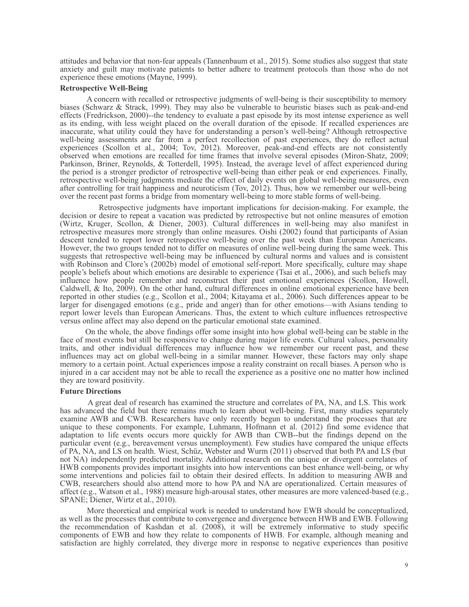attitudes and behavior that non-fear appeals (Tannenbaum et al., 2015). Some studies also suggest that state anxiety and guilt may motivate patients to better adhere to treatment protocols than those who do not experience these emotions (Mayne, 1999).

### **Retrospective Well-Being**

A concern with recalled or retrospective judgments of well-being is their susceptibility to memory biases (Schwarz & Strack, 1999). They may also be vulnerable to heuristic biases such as peak-and-end effects (Fredrickson, 2000)--the tendency to evaluate a past episode by its most intense experience as well as its ending, with less weight placed on the overall duration of the episode. If recalled experiences are inaccurate, what utility could they have for understanding a person's well-being? Although retrospective well-being assessments are far from a perfect recollection of past experiences, they do reflect actual experiences (Scollon et al., 2004; Tov, 2012). Moreover, peak-and-end effects are not consistently observed when emotions are recalled for time frames that involve several episodes (Miron-Shatz, 2009; Parkinson, Briner, Reynolds, & Totterdell, 1995). Instead, the average level of affect experienced during the period is a stronger predictor of retrospective well-being than either peak or end experiences. Finally, retrospective well-being judgments mediate the effect of daily events on global well-being measures, even after controlling for trait happiness and neuroticism (Tov, 2012). Thus, how we remember our well-being over the recent past forms a bridge from momentary well-being to more stable forms of well-being.

Retrospective judgments have important implications for decision-making. For example, the decision or desire to repeat a vacation was predicted by retrospective but not online measures of emotion (Wirtz, Kruger, Scollon, & Diener, 2003). Cultural differences in well-being may also manifest in retrospective measures more strongly than online measures. Oishi (2002) found that participants of Asian descent tended to report lower retrospective well-being over the past week than European Americans. However, the two groups tended not to differ on measures of online well-being during the same week. This suggests that retrospective well-being may be influenced by cultural norms and values and is consistent with Robinson and Clore's (2002b) model of emotional self-report. More specifically, culture may shape people's beliefs about which emotions are desirable to experience (Tsai et al., 2006), and such beliefs may influence how people remember and reconstruct their past emotional experiences (Scollon, Howell, Caldwell, & Ito, 2009). On the other hand, cultural differences in online emotional experience have been reported in other studies (e.g., Scollon et al., 2004; Kitayama et al., 2006). Such differences appear to be larger for disengaged emotions (e.g., pride and anger) than for other emotions—with Asians tending to report lower levels than European Americans. Thus, the extent to which culture influences retrospective versus online affect may also depend on the particular emotional state examined.

On the whole, the above findings offer some insight into how global well-being can be stable in the face of most events but still be responsive to change during major life events. Cultural values, personality traits, and other individual differences may influence how we remember our recent past, and these influences may act on global well-being in a similar manner. However, these factors may only shape memory to a certain point. Actual experiences impose a reality constraint on recall biases. A person who is injured in a car accident may not be able to recall the experience as a positive one no matter how inclined they are toward positivity.

### **Future Directions**

A great deal of research has examined the structure and correlates of PA, NA, and LS. This work has advanced the field but there remains much to learn about well-being. First, many studies separately examine AWB and CWB. Researchers have only recently begun to understand the processes that are unique to these components. For example, Luhmann, Hofmann et al. (2012) find some evidence that adaptation to life events occurs more quickly for AWB than CWB--but the findings depend on the particular event (e.g., bereavement versus unemployment). Few studies have compared the unique effects of PA, NA, and LS on health. Wiest, Schüz, Webster and Wurm (2011) observed that both PA and LS (but not NA) independently predicted mortality. Additional research on the unique or divergent correlates of HWB components provides important insights into how interventions can best enhance well-being, or why some interventions and policies fail to obtain their desired effects. In addition to measuring AWB and CWB, researchers should also attend more to how PA and NA are operationalized. Certain measures of affect (e.g., Watson et al., 1988) measure high-arousal states, other measures are more valenced-based (e.g., SPANE; Diener, Wirtz et al., 2010).

More theoretical and empirical work is needed to understand how EWB should be conceptualized, as well as the processes that contribute to convergence and divergence between HWB and EWB. Following the recommendation of Kashdan et al. (2008), it will be extremely informative to study specific components of EWB and how they relate to components of HWB. For example, although meaning and satisfaction are highly correlated, they diverge more in response to negative experiences than positive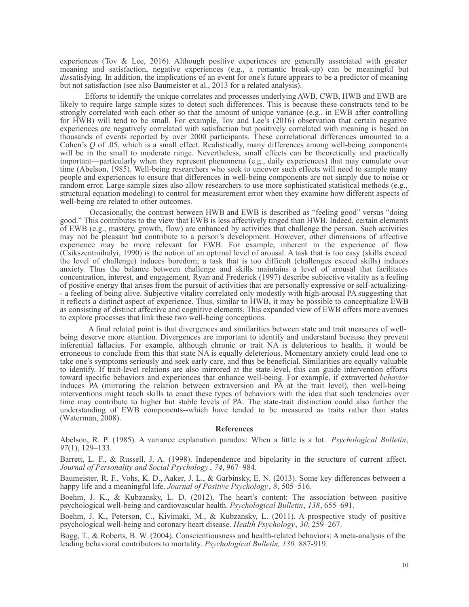experiences (Tov & Lee, 2016). Although positive experiences are generally associated with greater meaning and satisfaction, negative experiences (e.g., a romantic break-up) can be meaningful but *dis*satisfying. In addition, the implications of an event for one's future appears to be a predictor of meaning but not satisfaction (see also Baumeister et al., 2013 for a related analysis).

Efforts to identify the unique correlates and processes underlying AWB, CWB, HWB and EWB are likely to require large sample sizes to detect such differences. This is because these constructs tend to be strongly correlated with each other so that the amount of unique variance (e.g., in EWB after controlling for HWB) will tend to be small. For example, Tov and Lee's (2016) observation that certain negative experiences are negatively correlated with satisfaction but positively correlated with meaning is based on thousands of events reported by over 2000 participants. These correlational differences amounted to a Cohen's *Q* of .05, which is a small effect. Realistically, many differences among well-being components will be in the small to moderate range. Nevertheless, small effects can be theoretically and practically important—particularly when they represent phenomena (e.g., daily experiences) that may cumulate over time (Abelson, 1985). Well-being researchers who seek to uncover such effects will need to sample many people and experiences to ensure that differences in well-being components are not simply due to noise or random error. Large sample sizes also allow researchers to use more sophisticated statistical methods (e.g., structural equation modeling) to control for measurement error when they examine how different aspects of well-being are related to other outcomes.

Occasionally, the contrast between HWB and EWB is described as "feeling good" versus "doing good." This contributes to the view that EWB is less affectively tinged than HWB. Indeed, certain elements of EWB (e.g., mastery, growth, flow) are enhanced by activities that challenge the person. Such activities may not be pleasant but contribute to a person's development. However, other dimensions of affective experience may be more relevant for EWB. For example, inherent in the experience of flow (Csikszentmihalyi, 1990) is the notion of an optimal level of arousal. A task that is too easy (skills exceed the level of challenge) induces boredom; a task that is too difficult (challenges exceed skills) induces anxiety. Thus the balance between challenge and skills maintains a level of arousal that facilitates concentration, interest, and engagement. Ryan and Frederick (1997) describe subjective vitality as a feeling of positive energy that arises from the pursuit of activities that are personally expressive or self-actualizing- - a feeling of being alive. Subjective vitality correlated only modestly with high-arousal PA suggesting that it reflects a distinct aspect of experience. Thus, similar to HWB, it may be possible to conceptualize EWB as consisting of distinct affective and cognitive elements. This expanded view of EWB offers more avenues to explore processes that link these two well-being conceptions.

A final related point is that divergences and similarities between state and trait measures of wellbeing deserve more attention. Divergences are important to identify and understand because they prevent inferential fallacies. For example, although chronic or trait NA is deleterious to health, it would be erroneous to conclude from this that state NA is equally deleterious. Momentary anxiety could lead one to take one's symptoms seriously and seek early care, and thus be beneficial. Similarities are equally valuable to identify. If trait-level relations are also mirrored at the state-level, this can guide intervention efforts toward specific behaviors and experiences that enhance well-being. For example, if extraverted *behavior* induces PA (mirroring the relation between extraversion and PA at the trait level), then well-being interventions might teach skills to enact these types of behaviors with the idea that such tendencies over time may contribute to higher but stable levels of PA. The state-trait distinction could also further the understanding of EWB components--which have tended to be measured as traits rather than states (Waterman, 2008).

#### **References**

Abelson, R. P. (1985). A variance explanation paradox: When a little is a lot. *Psychological Bulletin*, *97*(1), 129–133.

Barrett, L. F., & Russell, J. A. (1998). Independence and bipolarity in the structure of current affect. *Journal of Personality and Social Psychology* , *74*, 967–984.

Baumeister, R. F., Vohs, K. D., Aaker, J. L., & Garbinsky, E. N. (2013). Some key differences between a happy life and a meaningful life. *Journal of Positive Psychology*, *8*, 505–516.

Boehm, J. K., & Kubzansky, L. D. (2012). The heart's content: The association between positive psychological well-being and cardiovascular health. *Psychological Bulletin*, *138*, 655–691.

Boehm, J. K., Peterson, C., Kivimaki, M., & Kubzansky, L. (2011). A prospective study of positive psychological well-being and coronary heart disease. *Health Psychology*, *30*, 259–267.

Bogg, T., & Roberts, B. W. (2004). Conscientiousness and health-related behaviors: A meta-analysis of the leading behavioral contributors to mortality. *Psychological Bulletin, 130,* 887-919.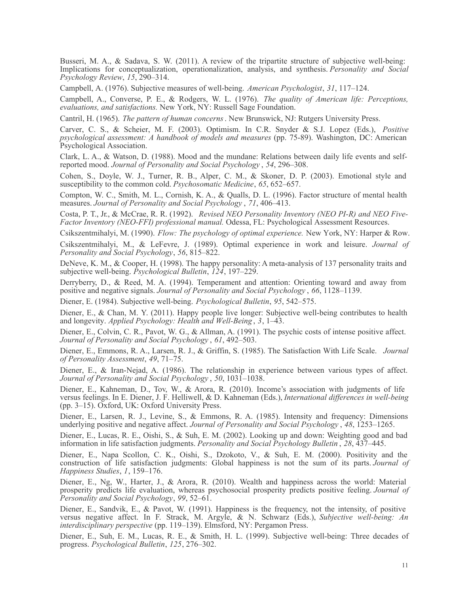Busseri, M. A., & Sadava, S. W. (2011). A review of the tripartite structure of subjective well-being: Implications for conceptualization, operationalization, analysis, and synthesis. *Personality and Social Psychology Review*, *15*, 290–314.

Campbell, A. (1976). Subjective measures of well-being. *American Psychologist*, *31*, 117–124.

Campbell, A., Converse, P. E., & Rodgers, W. L. (1976). *The quality of American life: Perceptions, evaluations, and satisfactions.* New York, NY: Russell Sage Foundation.

Cantril, H. (1965). *The pattern of human concerns*. New Brunswick, NJ: Rutgers University Press.

Carver, C. S., & Scheier, M. F. (2003). Optimism. In C.R. Snyder & S.J. Lopez (Eds.), *Positive psychological assessment: A handbook of models and measures* (pp. 75-89). Washington, DC: American Psychological Association.

Clark, L. A., & Watson, D. (1988). Mood and the mundane: Relations between daily life events and selfreported mood. *Journal of Personality and Social Psychology* , *54*, 296–308.

Cohen, S., Doyle, W. J., Turner, R. B., Alper, C. M., & Skoner, D. P. (2003). Emotional style and susceptibility to the common cold. *Psychosomatic Medicine*, *65*, 652–657.

Compton, W. C., Smith, M. L., Cornish, K. A., & Qualls, D. L. (1996). Factor structure of mental health measures. *Journal of Personality and Social Psychology* , *71*, 406–413.

Costa, P. T., Jr., & McCrae, R. R. (1992). *Revised NEO Personality Inventory (NEO PI-R) and NEO Five-Factor Inventory (NEO-FFI) professional manual.* Odessa, FL: Psychological Assessment Resources.

Csikszentmihalyi, M. (1990). *Flow: The psychology of optimal experience.* New York, NY: Harper & Row.

Csikszentmihalyi, M., & LeFevre, J. (1989). Optimal experience in work and leisure. *Journal of Personality and Social Psychology*, *56*, 815–822.

DeNeve, K. M., & Cooper, H. (1998). The happy personality: A meta-analysis of 137 personality traits and subjective well-being. *Psychological Bulletin*, *124*, 197–229.

Derryberry, D., & Reed, M. A. (1994). Temperament and attention: Orienting toward and away from positive and negative signals. *Journal of Personality and Social Psychology* , *66*, 1128–1139.

Diener, E. (1984). Subjective well-being. *Psychological Bulletin*, *95*, 542–575.

Diener, E., & Chan, M. Y. (2011). Happy people live longer: Subjective well-being contributes to health and longevity. *Applied Psychology: Health and Well-Being* , *3*, 1–43.

Diener, E., Colvin, C. R., Pavot, W. G., & Allman, A. (1991). The psychic costs of intense positive affect. *Journal of Personality and Social Psychology* , *61*, 492–503.

Diener, E., Emmons, R. A., Larsen, R. J., & Griffin, S. (1985). The Satisfaction With Life Scale. *Journal of Personality Assessment*, *49*, 71–75.

Diener, E., & Iran-Nejad, A. (1986). The relationship in experience between various types of affect. *Journal of Personality and Social Psychology* , *50*, 1031–1038.

Diener, E., Kahneman, D., Tov, W., & Arora, R. (2010). Income's association with judgments of life versus feelings. In E. Diener, J. F. Helliwell, & D. Kahneman (Eds.), *International differences in well-being* (pp. 3–15). Oxford, UK: Oxford University Press.

Diener, E., Larsen, R. J., Levine, S., & Emmons, R. A. (1985). Intensity and frequency: Dimensions underlying positive and negative affect. *Journal of Personality and Social Psychology* , *48*, 1253–1265.

Diener, E., Lucas, R. E., Oishi, S., & Suh, E. M. (2002). Looking up and down: Weighting good and bad information in life satisfaction judgments. *Personality and Social Psychology Bulletin* , *28*, 437–445.

Diener, E., Napa Scollon, C. K., Oishi, S., Dzokoto, V., & Suh, E. M. (2000). Positivity and the construction of life satisfaction judgments: Global happiness is not the sum of its parts. *Journal of Happiness Studies*, *1*, 159–176.

Diener, E., Ng, W., Harter, J., & Arora, R. (2010). Wealth and happiness across the world: Material prosperity predicts life evaluation, whereas psychosocial prosperity predicts positive feeling. *Journal of Personality and Social Psychology*, *99*, 52–61.

Diener, E., Sandvik, E., & Pavot, W. (1991). Happiness is the frequency, not the intensity, of positive versus negative affect. In F. Strack, M. Argyle, & N. Schwarz (Eds.), *Subjective well-being: An interdisciplinary perspective* (pp. 119–139). Elmsford, NY: Pergamon Press.

Diener, E., Suh, E. M., Lucas, R. E., & Smith, H. L. (1999). Subjective well-being: Three decades of progress. *Psychological Bulletin*, *125*, 276–302.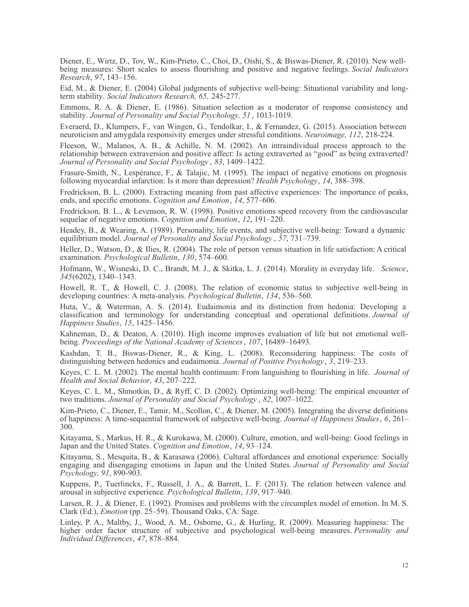Diener, E., Wirtz, D., Tov, W., Kim-Prieto, C., Choi, D., Oishi, S., & Biswas-Diener, R. (2010). New wellbeing measures: Short scales to assess flourishing and positive and negative feelings. *Social Indicators Research*, *97*, 143–156.

Eid, M., & Diener, E. (2004) Global judgments of subjective well-being: Situational variability and longterm stability. *Social Indicators Research, 65,* 245-277.

Emmons, R. A. & Diener, E. (1986). Situation selection as a moderator of response consistency and stability. *Journal of Personality and Social Psychology, 51* , 1013-1019.

Everaerd, D., Klumpers, F., van Wingen, G., Tendolkar, I., & Fernandez, G. (2015). Association between neuroticism and amygdala responsivity emerges under stressful conditions. *Neuroimage, 112*, 218-224.

Fleeson, W., Malanos, A. B., & Achille, N. M. (2002). An intraindividual process approach to the relationship between extraversion and positive affect: Is acting extraverted as "good" as being extraverted? *Journal of Personality and Social Psychology* , *83*, 1409–1422.

Frasure-Smith, N., Lespérance, F., & Talajic, M. (1995). The impact of negative emotions on prognosis following myocardial infarction: Is it more than depression? *Health Psychology*, *14*, 388–398.

Fredrickson, B. L. (2000). Extracting meaning from past affective experiences: The importance of peaks, ends, and specific emotions. *Cognition and Emotion*, *14*, 577–606.

Fredrickson, B. L., & Levenson, R. W. (1998). Positive emotions speed recovery from the cardiovascular sequelae of negative emotions. *Cognition and Emotion*, *12*, 191–220.

Headey, B., & Wearing, A. (1989). Personality, life events, and subjective well-being: Toward a dynamic equilibrium model. *Journal of Personality and Social Psychology* , *57*, 731–739.

Heller, D., Watson, D., & Ilies, R. (2004). The role of person versus situation in life satisfaction: A critical examination. *Psychological Bulletin*, *130*, 574–600.

Hofmann, W., Wisneski, D. C., Brandt, M. J., & Skitka, L. J. (2014). Morality in everyday life. *Science*, *345*(6202), 1340–1343.

Howell, R. T., & Howell, C. J. (2008). The relation of economic status to subjective well-being in developing countries: A meta-analysis. *Psychological Bulletin*, *134*, 536–560.

Huta, V., & Waterman, A. S. (2014). Eudaimonia and its distinction from hedonia: Developing a classification and terminology for understanding conceptual and operational definitions. *Journal of Happiness Studies*, *15*, 1425–1456.

Kahneman, D., & Deaton, A. (2010). High income improves evaluation of life but not emotional wellbeing. *Proceedings of the National Academy of Sciences*, *107*, 16489–16493.

Kashdan, T. B., Biswas-Diener, R., & King, L. (2008). Reconsidering happiness: The costs of distinguishing between hedonics and eudaimonia. *Journal of Positive Psychology*, *3*, 219–233.

Keyes, C. L. M. (2002). The mental health continuum: From languishing to flourishing in life. *Journal of Health and Social Behavior*, *43*, 207–222.

Keyes, C. L. M., Shmotkin, D., & Ryff, C. D. (2002). Optimizing well-being: The empirical encounter of two traditions. *Journal of Personality and Social Psychology* , *82*, 1007–1022.

Kim-Prieto, C., Diener, E., Tamir, M., Scollon, C., & Diener, M. (2005). Integrating the diverse definitions of happiness: A time-sequential framework of subjective well-being. *Journal of Happiness Studies*, *6*, 261– 300.

Kitayama, S., Markus, H. R., & Kurokawa, M. (2000). Culture, emotion, and well-being: Good feelings in Japan and the United States. *Cognition and Emotion*, *14*, 93–124.

Kitayama, S., Mesquita, B., & Karasawa (2006). Cultural affordances and emotional experience: Socially engaging and disengaging emotions in Japan and the United States. *Journal of Personality and Social Psychology, 91*, 890-903.

Kuppens, P., Tuerlinckx, F., Russell, J. A., & Barrett, L. F. (2013). The relation between valence and arousal in subjective experience. *Psychological Bulletin*, *139*, 917–940.

Larsen, R. J., & Diener, E. (1992). Promises and problems with the circumplex model of emotion. In M. S. Clark (Ed.), *Emotion* (pp. 25–59). Thousand Oaks, CA: Sage.

Linley, P. A., Maltby, J., Wood, A. M., Osborne, G., & Hurling, R. (2009). Measuring happiness: The higher order factor structure of subjective and psychological well-being measures. *Personality and Individual Differences*, *47*, 878–884.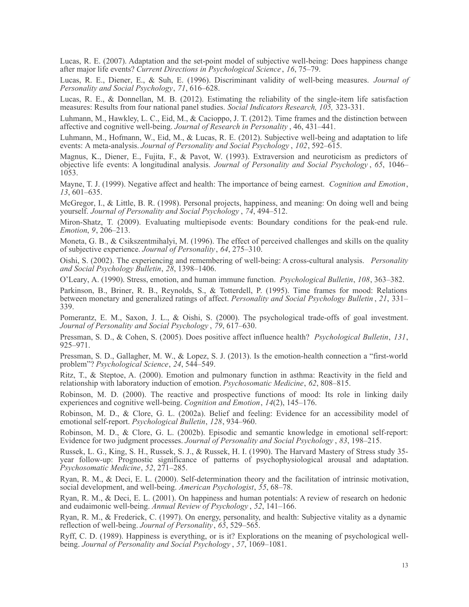Lucas, R. E. (2007). Adaptation and the set-point model of subjective well-being: Does happiness change after major life events? *Current Directions in Psychological Science* , *16*, 75–79.

Lucas, R. E., Diener, E., & Suh, E. (1996). Discriminant validity of well-being measures. *Journal of Personality and Social Psychology*, *71*, 616–628.

Lucas, R. E., & Donnellan, M. B. (2012). Estimating the reliability of the single-item life satisfaction measures: Results from four national panel studies. *Social Indicators Research, 105,* 323-331.

Luhmann, M., Hawkley, L. C., Eid, M., & Cacioppo, J. T. (2012). Time frames and the distinction between affective and cognitive well-being. *Journal of Research in Personality* , 46, 431–441.

Luhmann, M., Hofmann, W., Eid, M., & Lucas, R. E. (2012). Subjective well-being and adaptation to life events: A meta-analysis. *Journal of Personality and Social Psychology* , *102*, 592–615.

Magnus, K., Diener, E., Fujita, F., & Pavot, W. (1993). Extraversion and neuroticism as predictors of objective life events: A longitudinal analysis. *Journal of Personality and Social Psychology* , *65*, 1046– 1053.

Mayne, T. J. (1999). Negative affect and health: The importance of being earnest. *Cognition and Emotion*, *13*, 601–635.

McGregor, I., & Little, B. R. (1998). Personal projects, happiness, and meaning: On doing well and being yourself. *Journal of Personality and Social Psychology* , *74*, 494–512.

Miron-Shatz, T. (2009). Evaluating multiepisode events: Boundary conditions for the peak-end rule. *Emotion*, *9*, 206–213.

Moneta, G. B., & Csikszentmihalyi, M. (1996). The effect of perceived challenges and skills on the quality of subjective experience. *Journal of Personality*, *64*, 275–310.

Oishi, S. (2002). The experiencing and remembering of well-being: A cross-cultural analysis. *Personality and Social Psychology Bulletin*, *28*, 1398–1406.

O'Leary, A. (1990). Stress, emotion, and human immune function. *Psychological Bulletin*, *108*, 363–382.

Parkinson, B., Briner, R. B., Reynolds, S., & Totterdell, P. (1995). Time frames for mood: Relations between monetary and generalized ratings of affect. *Personality and Social Psychology Bulletin* , *21*, 331– 339.

Pomerantz, E. M., Saxon, J. L., & Oishi, S. (2000). The psychological trade-offs of goal investment. *Journal of Personality and Social Psychology* , *79*, 617–630.

Pressman, S. D., & Cohen, S. (2005). Does positive affect influence health? *Psychological Bulletin*, *131*, 925–971.

Pressman, S. D., Gallagher, M. W., & Lopez, S. J. (2013). Is the emotion-health connection a "first-world problem"? *Psychological Science*, *24*, 544–549.

Ritz, T., & Steptoe, A. (2000). Emotion and pulmonary function in asthma: Reactivity in the field and relationship with laboratory induction of emotion. *Psychosomatic Medicine*, *62*, 808–815.

Robinson, M. D. (2000). The reactive and prospective functions of mood: Its role in linking daily experiences and cognitive well-being. *Cognition and Emotion*, *14*(2), 145–176.

Robinson, M. D., & Clore, G. L. (2002a). Belief and feeling: Evidence for an accessibility model of emotional self-report. *Psychological Bulletin*, *128*, 934–960.

Robinson, M. D., & Clore, G. L. (2002b). Episodic and semantic knowledge in emotional self-report: Evidence for two judgment processes. *Journal of Personality and Social Psychology* , *83*, 198–215.

Russek, L. G., King, S. H., Russek, S. J., & Russek, H. I. (1990). The Harvard Mastery of Stress study 35 year follow-up: Prognostic significance of patterns of psychophysiological arousal and adaptation. *Psychosomatic Medicine*, *52*, 271–285.

Ryan, R. M., & Deci, E. L. (2000). Self-determination theory and the facilitation of intrinsic motivation, social development, and well-being. *American Psychologist*, *55*, 68–78.

Ryan, R. M., & Deci, E. L. (2001). On happiness and human potentials: A review of research on hedonic and eudaimonic well-being. *Annual Review of Psychology* , *52*, 141–166.

Ryan, R. M., & Frederick, C. (1997). On energy, personality, and health: Subjective vitality as a dynamic reflection of well-being. *Journal of Personality*, *65*, 529–565.

Ryff, C. D. (1989). Happiness is everything, or is it? Explorations on the meaning of psychological wellbeing. *Journal of Personality and Social Psychology* , *57*, 1069–1081.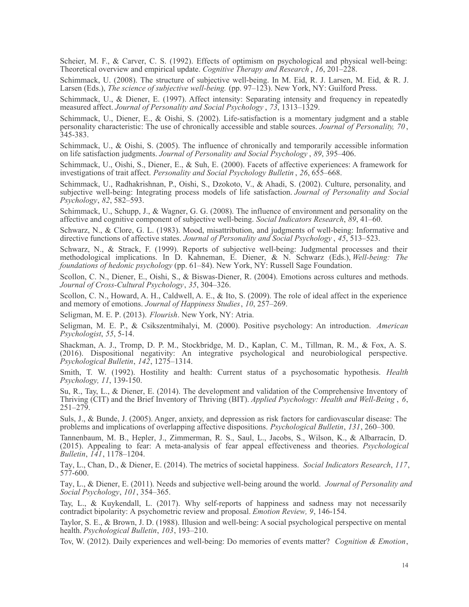Scheier, M. F., & Carver, C. S. (1992). Effects of optimism on psychological and physical well-being: Theoretical overview and empirical update. *Cognitive Therapy and Research* , *16*, 201–228.

Schimmack, U. (2008). The structure of subjective well-being. In M. Eid, R. J. Larsen, M. Eid, & R. J. Larsen (Eds.), *The science of subjective well-being.* (pp. 97–123). New York, NY: Guilford Press.

Schimmack, U., & Diener, E. (1997). Affect intensity: Separating intensity and frequency in repeatedly measured affect. *Journal of Personality and Social Psychology* , *73*, 1313–1329.

Schimmack, U., Diener, E., & Oishi, S. (2002). Life-satisfaction is a momentary judgment and a stable personality characteristic: The use of chronically accessible and stable sources. *Journal of Personality, 70* , 345-383.

Schimmack, U., & Oishi, S. (2005). The influence of chronically and temporarily accessible information on life satisfaction judgments. *Journal of Personality and Social Psychology* , *89*, 395–406.

Schimmack, U., Oishi, S., Diener, E., & Suh, E. (2000). Facets of affective experiences: A framework for investigations of trait affect. *Personality and Social Psychology Bulletin* , *26*, 655–668.

Schimmack, U., Radhakrishnan, P., Oishi, S., Dzokoto, V., & Ahadi, S. (2002). Culture, personality, and subjective well-being: Integrating process models of life satisfaction. *Journal of Personality and Social Psychology*, *82*, 582–593.

Schimmack, U., Schupp, J., & Wagner, G. G. (2008). The influence of environment and personality on the affective and cognitive component of subjective well-being. *Social Indicators Research*, *89*, 41–60.

Schwarz, N., & Clore, G. L. (1983). Mood, misattribution, and judgments of well-being: Informative and directive functions of affective states. *Journal of Personality and Social Psychology* , *45*, 513–523.

Schwarz, N., & Strack, F. (1999). Reports of subjective well-being: Judgmental processes and their methodological implications. In D. Kahneman, E. Diener, & N. Schwarz (Eds.), *Well-being: The foundations of hedonic psychology* (pp. 61–84). New York, NY: Russell Sage Foundation.

Scollon, C. N., Diener, E., Oishi, S., & Biswas-Diener, R. (2004). Emotions across cultures and methods. *Journal of Cross-Cultural Psychology*, *35*, 304–326.

Scollon, C. N., Howard, A. H., Caldwell, A. E., & Ito, S. (2009). The role of ideal affect in the experience and memory of emotions. *Journal of Happiness Studies*, *10*, 257–269.

Seligman, M. E. P. (2013). *Flourish*. New York, NY: Atria.

Seligman, M. E. P., & Csikszentmihalyi, M. (2000). Positive psychology: An introduction. *American Psychologist*, *55*, 5-14.

Shackman, A. J., Tromp, D. P. M., Stockbridge, M. D., Kaplan, C. M., Tillman, R. M., & Fox, A. S. (2016). Dispositional negativity: An integrative psychological and neurobiological perspective. *Psychological Bulletin*, *142*, 1275–1314.

Smith, T. W. (1992). Hostility and health: Current status of a psychosomatic hypothesis. *Health Psychology, 11*, 139-150.

Su, R., Tay, L., & Diener, E. (2014). The development and validation of the Comprehensive Inventory of Thriving (CIT) and the Brief Inventory of Thriving (BIT). *Applied Psychology: Health and Well-Being* , *6*,  $251 - 279$ .

Suls, J., & Bunde, J. (2005). Anger, anxiety, and depression as risk factors for cardiovascular disease: The problems and implications of overlapping affective dispositions. *Psychological Bulletin*, *131*, 260–300.

Tannenbaum, M. B., Hepler, J., Zimmerman, R. S., Saul, L., Jacobs, S., Wilson, K., & Albarracín, D. (2015). Appealing to fear: A meta-analysis of fear appeal effectiveness and theories. *Psychological Bulletin*, *141*, 1178–1204.

Tay, L., Chan, D., & Diener, E. (2014). The metrics of societal happiness. *Social Indicators Research*, *117*, 577-600.

Tay, L., & Diener, E. (2011). Needs and subjective well-being around the world. *Journal of Personality and Social Psychology*, *101*, 354–365.

Tay, L., & Kuykendall, L. (2017). Why self-reports of happiness and sadness may not necessarily contradict bipolarity: A psychometric review and proposal. *Emotion Review, 9*, 146-154.

Taylor, S. E., & Brown, J. D. (1988). Illusion and well-being: A social psychological perspective on mental health. *Psychological Bulletin*, *103*, 193–210.

Tov, W. (2012). Daily experiences and well-being: Do memories of events matter? *Cognition & Emotion*,